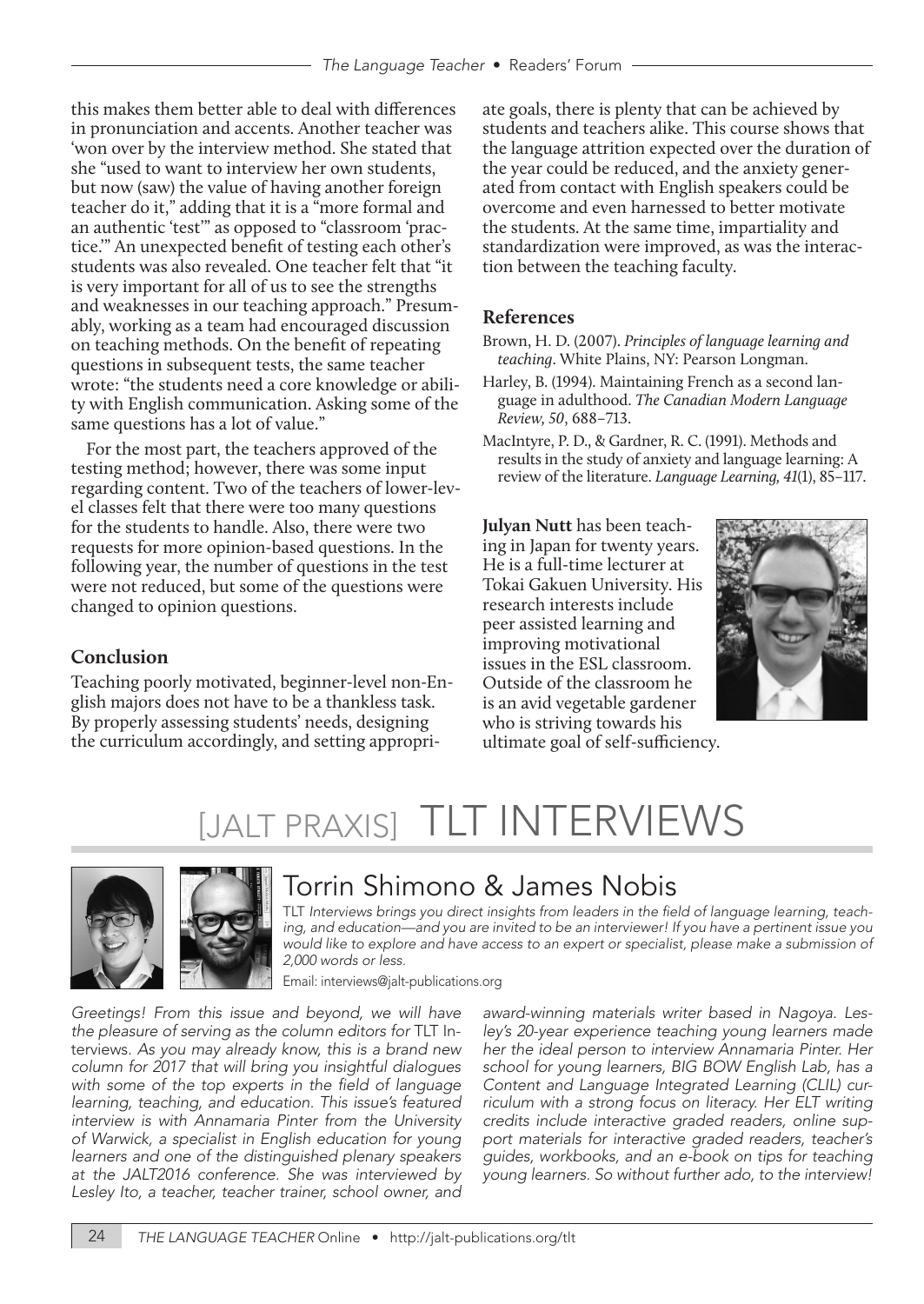this makes them better able to deal with differences in pronunciation and accents. Another teacher was 'won over by the interview method. She stated that she "used to want to interview her own students, but now (saw) the value of having another foreign teacher do it," adding that it is a "more formal and an authentic 'test'" as opposed to "classroom 'practice.'" An unexpected benefit of testing each other's students was also revealed. One teacher felt that "it is very important for all of us to see the strengths and weaknesses in our teaching approach." Presumably, working as a team had encouraged discussion on teaching methods. On the benefit of repeating questions in subsequent tests, the same teacher wrote: "the students need a core knowledge or ability with English communication. Asking some of the same questions has a lot of value."

For the most part, the teachers approved of the testing method; however, there was some input regarding content. Two of the teachers of lower-level classes felt that there were too many questions for the students to handle. Also, there were two requests for more opinion-based questions. In the following year, the number of questions in the test were not reduced, but some of the questions were changed to opinion questions.

### **Conclusion**

Teaching poorly motivated, beginner-level non-English majors does not have to be a thankless task. By properly assessing students' needs, designing the curriculum accordingly, and setting appropriate goals, there is plenty that can be achieved by students and teachers alike. This course shows that the language attrition expected over the duration of the year could be reduced, and the anxiety generated from contact with English speakers could be overcome and even harnessed to better motivate the students. At the same time, impartiality and standardization were improved, as was the interaction between the teaching faculty.

### **References**

- Brown, H. D. (2007). *Principles of language learning and teaching*. White Plains, NY: Pearson Longman.
- Harley, B. (1994). Maintaining French as a second language in adulthood. *The Canadian Modern Language Review, 50*, 688–713.
- MacIntyre, P. D., & Gardner, R. C. (1991). Methods and results in the study of anxiety and language learning: A review of the literature. *Language Learning, 41*(1), 85–117.

**Julyan Nutt** has been teaching in Japan for twenty years. He is a full-time lecturer at Tokai Gakuen University. His research interests include peer assisted learning and improving motivational issues in the ESL classroom. Outside of the classroom he is an avid vegetable gardener who is striving towards his ultimate goal of self-sufficiency.



# [JALT PRAXIS] TLT INTERVIEWS



### Torrin Shimono & James Nobis

TLT Interviews brings you direct insights from leaders in the field of language learning, teach*ing, and education—and you are invited to be an interviewer! If you have a pertinent issue you would like to explore and have access to an expert or specialist, please make a submission of 2,000 words or less.* 

Email: interviews@jalt-publications.org

*Greetings! From this issue and beyond, we will have the pleasure of serving as the column editors for* TLT Interviews*. As you may already know, this is a brand new column for 2017 that will bring you insightful dialogues*  with some of the top experts in the field of language *learning, teaching, and education. This issue's featured interview is with Annamaria Pinter from the University of Warwick, a specialist in English education for young learners and one of the distinguished plenary speakers at the JALT2016 conference. She was interviewed by Lesley Ito, a teacher, teacher trainer, school owner, and* 

*award-winning materials writer based in Nagoya. Lesley's 20-year experience teaching young learners made her the ideal person to interview Annamaria Pinter. Her school for young learners, BIG BOW English Lab, has a Content and Language Integrated Learning (CLIL) curriculum with a strong focus on literacy. Her ELT writing credits include interactive graded readers, online support materials for interactive graded readers, teacher's guides, workbooks, and an e-book on tips for teaching young learners. So without further ado, to the interview!*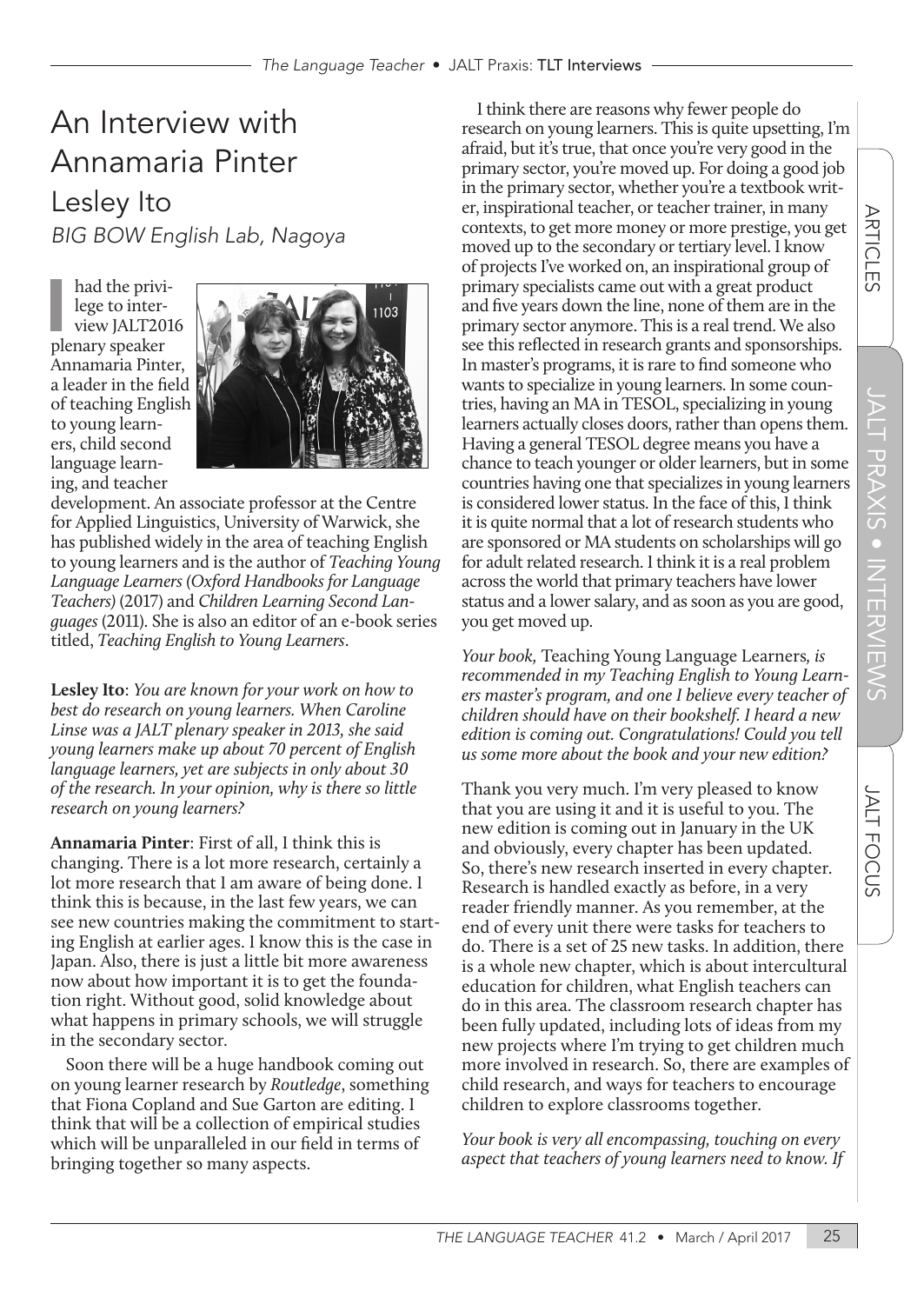## An Interview with Annamaria Pinter Lesley Ito *BIG BOW English Lab, Nagoya*

had the privi<br>lege to inter-<br>view JALT20<br>plenary speaker had the privilege to interview JALT2016 Annamaria Pinter, a leader in the field of teaching English to young learners, child second language learning, and teacher



development. An associate professor at the Centre for Applied Linguistics, University of Warwick, she has published widely in the area of teaching English to young learners and is the author of *Teaching Young Language Learners (Oxford Handbooks for Language Teachers)* (2017) and *Children Learning Second Languages* (2011). She is also an editor of an e-book series titled, *Teaching English to Young Learners*.

**Lesley Ito**: *You are known for your work on how to best do research on young learners. When Caroline Linse was a JALT plenary speaker in 2013, she said young learners make up about 70 percent of English language learners, yet are subjects in only about 30 of the research. In your opinion, why is there so little research on young learners?*

**Annamaria Pinter**: First of all, I think this is changing. There is a lot more research, certainly a lot more research that I am aware of being done. I think this is because, in the last few years, we can see new countries making the commitment to starting English at earlier ages. I know this is the case in Japan. Also, there is just a little bit more awareness now about how important it is to get the foundation right. Without good, solid knowledge about what happens in primary schools, we will struggle in the secondary sector.

Soon there will be a huge handbook coming out on young learner research by *Routledge*, something that Fiona Copland and Sue Garton are editing. I think that will be a collection of empirical studies which will be unparalleled in our field in terms of bringing together so many aspects.

I think there are reasons why fewer people do research on young learners. This is quite upsetting, I'm afraid, but it's true, that once you're very good in the primary sector, you're moved up. For doing a good job in the primary sector, whether you're a textbook writer, inspirational teacher, or teacher trainer, in many contexts, to get more money or more prestige, you get moved up to the secondary or tertiary level. I know of projects I've worked on, an inspirational group of primary specialists came out with a great product and five years down the line, none of them are in the primary sector anymore. This is a real trend. We also see this reflected in research grants and sponsorships. In master's programs, it is rare to find someone who wants to specialize in young learners. In some countries, having an MA in TESOL, specializing in young learners actually closes doors, rather than opens them. Having a general TESOL degree means you have a chance to teach younger or older learners, but in some countries having one that specializes in young learners is considered lower status. In the face of this, I think it is quite normal that a lot of research students who are sponsored or MA students on scholarships will go for adult related research. I think it is a real problem across the world that primary teachers have lower status and a lower salary, and as soon as you are good, you get moved up.

*Your book,* Teaching Young Language Learners*, is recommended in my Teaching English to Young Learners master's program, and one I believe every teacher of children should have on their bookshelf. I heard a new edition is coming out. Congratulations! Could you tell us some more about the book and your new edition?*

Thank you very much. I'm very pleased to know that you are using it and it is useful to you. The new edition is coming out in January in the UK and obviously, every chapter has been updated. So, there's new research inserted in every chapter. Research is handled exactly as before, in a very reader friendly manner. As you remember, at the end of every unit there were tasks for teachers to do. There is a set of 25 new tasks. In addition, there is a whole new chapter, which is about intercultural education for children, what English teachers can do in this area. The classroom research chapter has been fully updated, including lots of ideas from my new projects where I'm trying to get children much more involved in research. So, there are examples of child research, and ways for teachers to encourage children to explore classrooms together.

*Your book is very all encompassing, touching on every aspect that teachers of young learners need to know. If*  **JALT FOCUS**